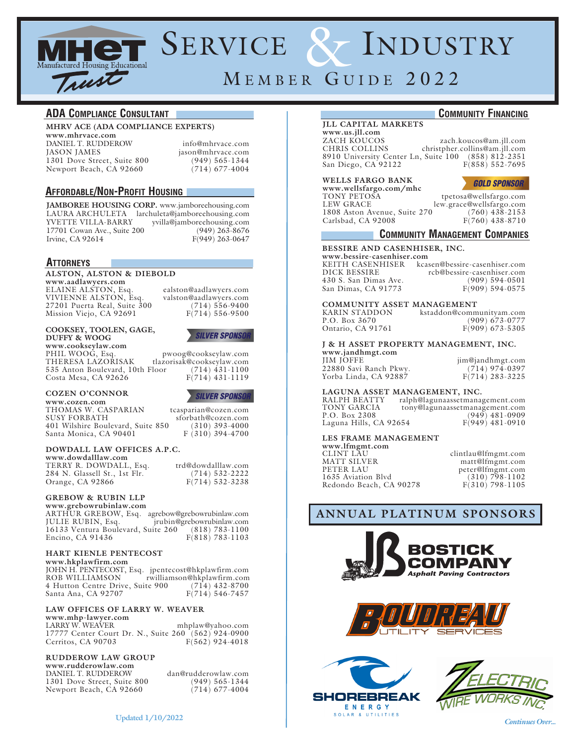

# SERVICE & INDUSTRY

# MEMBER GUIDE 2022

#### **ADA Compliance Consultant**

#### **MHRV ACE (ADA COMPLIANCE EXPERTS)**

**www.mhrvace.com** DANIEL T. RUDDEROW info@mhrvace.com<br>
IASON JAMES iason@mhrvace.com 1301 Dove Street, Suite 800 (949) 565-1344<br>Newport Beach, CA 92660 (714) 677-4004 Newport Beach, CA 92660

jason@mhrvace.com

#### **Affordable/Non-Profit Housing**

**JAMBOREE HOUSING CORP.** www.jamboreehousing.com LAURA ARCHULETA larchuleta@jamboreehousing.com YVETTE VILLA-BARRY yvilla@jamboreehousing.com 17701 Cowan Ave., Suite 200 (949) 263-8676<br>
Irvine, CA 92614 F(949) 263-0647  $F(949)$  263-0647

#### **Attorneys**

#### **ALSTON, ALSTON & DIEBOLD**

**www.aadlawyers.com** VIVIENNE ALSTON, Esq. valston@aadlawyers.com 27201 Puerta Real, Suite 300 (714) 556-9400 Mission Viejo, CA 92691 F(714) 556-9500

ealston@aadlawyers.com

#### **COOKSEY, TOOLEN, GAGE, DUFFY & WOOG**

**www.cookseylaw.com** PHIL WOOG, Esq. pwoog@cookseylaw.com tlazorisak@cookseylaw.com 535 Anton Boulevard, 10th Floor (714) 431-1100<br>Costa Mesa, CA 92626 F(714) 431-1119 Costa Mesa, CA 92626

#### **COZEN O'CONNOR www.cozen.com**

**SILVER SPONSOR** 

**SILVER SPONSOR** 

THOMAS W. CASPARIAN tcasparian@cozen.com<br>SUSY FORBATH sforbath@cozen.com  $sfor bath@cozen.com$ <br>(310) 393-4000 401 Wilshire Boulevard, Suite 850 (310) 393-4000 Santa Monica, CA 90401

#### **DOWDALL LAW OFFICES A.P.C. www.dowdalllaw.com**

TERRY R. DOWDALL, Esq. trd@dowdalllaw.com<br>284 N. Glassell St., 1st Flr. (714) 532-2222 284 N. Glassell St., 1st Flr. (714) 532-2222<br>Orange, CA 92866 F(714) 532-3238 Orange, CA 92866

#### **GREBOW & RUBIN LLP**

**www.grebowrubinlaw.com** ARTHUR GREBOW, Esq. agrebow@grebowrubinlaw.com jrubin@grebowrubinlaw.com<br>ite 260 (818) 783-1100 16133 Ventura Boulevard, Suite 260 Encino, CA 91436 F(818) 783-1103

#### **HART KIENLE PENTECOST**

**www.hkplawfirm.com**

JOHN H. PENTECOST, Esq. jpentecost@hkplawfirm.com rwilliamson@hkplawfirm.com<br>ite 900 (714) 432-8700 4 Hutton Centre Drive, Suite 900 (714) 432-8700<br>Santa Ana, CA 92707 F(714) 546-7457 Santa Ana, CA 92707

### **LAW OFFICES OF LARRY W. WEAVER www.mhp-lawyer.com**

mhplaw@yahoo.com 17777 Center Court Dr. N., Suite 260 (562) 924-0900<br>Cerritos, CA 90703 F(562) 924-4018 Cerritos, CA 90703

#### **RUDDEROW LAW GROUP**

**www.rudderowlaw.com** DANIEL T. RUDDEROW dan@rudderowlaw.com 1301 Dove Street, Suite 800 (949) 565-1344<br>Newport Beach, CA 92660 (714) 677-4004 Newport Beach, CA 92660

#### **Community Financing**

#### **JLL CAPITAL MARKETS**

**www.us.jll.com** ZACH KOUCOS zach.koucos@am.jll.com christpher.collins@am.jll.com 8910 University Center Ln, Suite 100 (858) 812-2351<br>San Diego, CA 92122 F(858) 552-7695 San Diego, CA 92122

#### **WELLS FARGO BANK**

**www.wellsfargo.com/mhc** TONY PETOŠA tpetosa@wellsfargo.com<br>LEW GRACE lew.grace@wellsfargo.com 1808 Aston Avenue, Suite 270 (760) 438-2153<br>Carlsbad, CA 92008 F(760) 438-8710 Carlsbad, CA  $92008$ 



lew.grace@wellsfargo.com

#### **Community Management Companies**

#### **BESSIRE AND CASENHISER, INC.**

**www.bessire-casenhiser.com** KEITH CASENHISER kcasen@bessire-casenhiser.com rcb@bessire-casenhiser.com<br>(909) 594-0501 430 S. San Dimas Ave. (909) 594-0501<br>
San Dimas, CA 91773 F(909) 594-0575 San Dimas, CA 91773

# **COMMUNITY ASSET MANAGEMENT**

KARIN STADDON kstaddon@communityam.com Ontario, CA 91761

 $(909)$  673-0777<br>F(909) 673-5305

## **J & H ASSET PROPERTY MANAGEMENT, INC.**

**www.jandhmgt.com** Yorba Linda, CA 92887

jim@jandhmgt.com<br>(714) 974-0397 22880 Savi Ranch Pkwy. (714) 974-0397

# **LAGUNA ASSET MANAGEMENT, INC.**

RALPH BEATTY ralph@lagunaassetmanagement.com TONY GARCIA tony@lagunaassetmanagement.com  $\begin{array}{c} (949) \\ F(949) \\ 481-0910 \end{array}$ Laguna Hills, CA 92654

#### **LES FRAME MANAGEMENT**

| clintlau@lfmgmt.com |
|---------------------|
| matt@lfmgmt.com     |
| peter@lfmgmt.com    |
| $(310) 798 - 1102$  |
| $F(310)$ 798-1105   |
|                     |

## **ANNUAL PLATINUM SPONSORS**